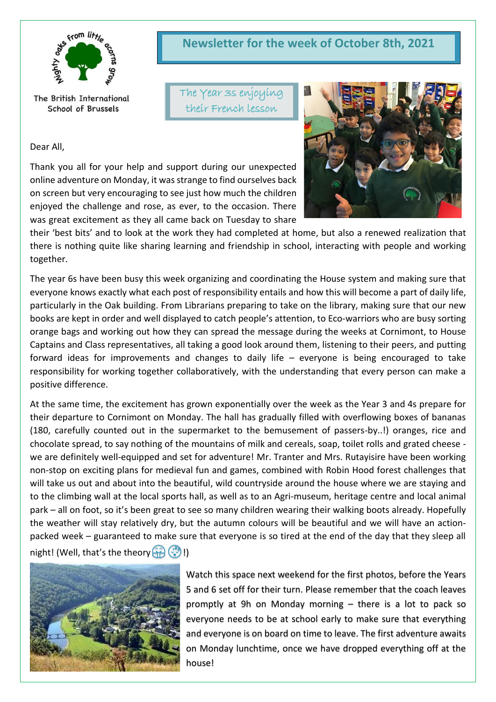

The British International School of Brussels

Dear All,

Thank you all for your help and support during our unexpected online adventure on Monday, it was strange to find ourselves back on screen but very encouraging to see just how much the children enjoyed the challenge and rose, as ever, to the occasion. There was great excitement as they all came back on Tuesday to share



The Year 3s enjoying their French lesson



their 'best bits' and to look at the work they had completed at home, but also a renewed realization that there is nothing quite like sharing learning and friendship in school, interacting with people and working together.

The year 6s have been busy this week organizing and coordinating the House system and making sure that everyone knows exactly what each post of responsibility entails and how this will become a part of daily life, particularly in the Oak building. From Librarians preparing to take on the library, making sure that our new books are kept in order and well displayed to catch people's attention, to Eco-warriors who are busy sorting orange bags and working out how they can spread the message during the weeks at Cornimont, to House Captains and Class representatives, all taking a good look around them, listening to their peers, and putting forward ideas for improvements and changes to daily life – everyone is being encouraged to take responsibility for working together collaboratively, with the understanding that every person can make a positive difference.

At the same time, the excitement has grown exponentially over the week as the Year 3 and 4s prepare for their departure to Cornimont on Monday. The hall has gradually filled with overflowing boxes of bananas (180, carefully counted out in the supermarket to the bemusement of passers-by..!) oranges, rice and chocolate spread, to say nothing of the mountains of milk and cereals, soap, toilet rolls and grated cheese we are definitely well-equipped and set for adventure! Mr. Tranter and Mrs. Rutayisire have been working non-stop on exciting plans for medieval fun and games, combined with Robin Hood forest challenges that will take us out and about into the beautiful, wild countryside around the house where we are staying and to the climbing wall at the local sports hall, as well as to an Agri-museum, heritage centre and local animal park – all on foot, so it's been great to see so many children wearing their walking boots already. Hopefully the weather will stay relatively dry, but the autumn colours will be beautiful and we will have an actionpacked week – guaranteed to make sure that everyone is so tired at the end of the day that they sleep all night! (Well, that's the theory  $\left(\frac{1}{2}\right)$ !)



Watch this space next weekend for the first photos, before the Years 5 and 6 set off for their turn. Please remember that the coach leaves promptly at 9h on Monday morning – there is a lot to pack so everyone needs to be at school early to make sure that everything and everyone is on board on time to leave. The first adventure awaits on Monday lunchtime, once we have dropped everything off at the house!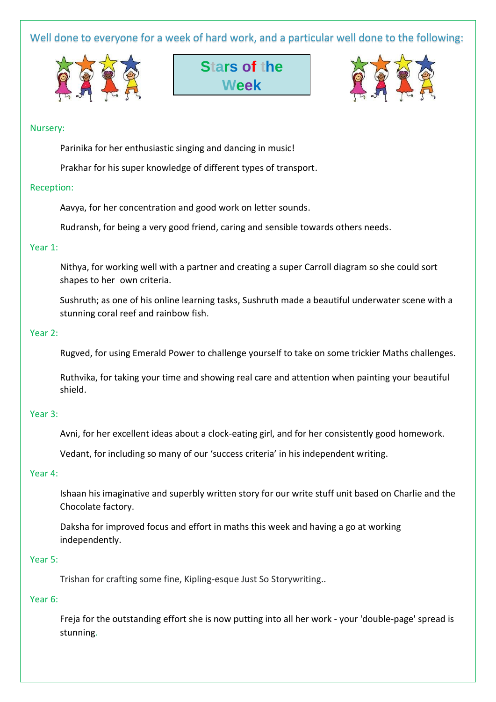Well done to everyone for a week of hard work, and a particular well done to the following:







#### Nursery:

Parinika for her enthusiastic singing and dancing in music!

Prakhar for his super knowledge of different types of transport.

#### Reception:

Aavya, for her concentration and good work on letter sounds.

Rudransh, for being a very good friend, caring and sensible towards others needs.

#### Year 1:

Nithya, for working well with a partner and creating a super Carroll diagram so she could sort shapes to her own criteria.

Sushruth; as one of his online learning tasks, Sushruth made a beautiful underwater scene with a stunning coral reef and rainbow fish.

### Year 2:

Rugved, for using Emerald Power to challenge yourself to take on some trickier Maths challenges.

Ruthvika, for taking your time and showing real care and attention when painting your beautiful shield.

#### Year 3:

Avni, for her excellent ideas about a clock-eating girl, and for her consistently good homework.

Vedant, for including so many of our 'success criteria' in his independent writing.

#### Year 4:

Ishaan his imaginative and superbly written story for our write stuff unit based on Charlie and the Chocolate factory.

Daksha for improved focus and effort in maths this week and having a go at working independently.

#### Year 5:

Trishan for crafting some fine, Kipling-esque Just So Storywriting..

#### Year 6:

Freja for the outstanding effort she is now putting into all her work - your 'double-page' spread is stunning.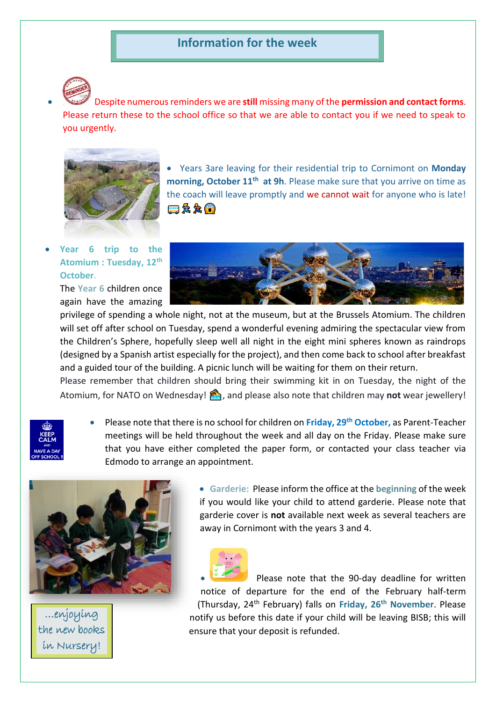# **Information for the week**



• Despite numerous reminders we are **still** missing many of the **permission and contact forms**. Please return these to the school office so that we are able to contact you if we need to speak to you urgently.



• Years 3are leaving for their residential trip to Cornimont on **Monday morning, October 11th at 9h**. Please make sure that you arrive on time as the coach will leave promptly and we cannot wait for anyone who is late! □☆☆ ●

## • **Year 6 trip to the Atomium : Tuesday, 12th October**.

The **Year 6** children once again have the amazing



privilege of spending a whole night, not at the museum, but at the Brussels Atomium. The children will set off after school on Tuesday, spend a wonderful evening admiring the spectacular view from the Children's Sphere, hopefully sleep well all night in the eight mini spheres known as raindrops (designed by a Spanish artist especially for the project), and then come back to school after breakfast and a guided tour of the building. A picnic lunch will be waiting for them on their return.

Please remember that children should bring their swimming kit in on Tuesday, the night of the Atomium, for NATO on Wednesday!  $\binom{3}{2}$ , and please also note that children may **not** wear jewellery!

- 
- Please note that there is no school for children on **Friday, 29th October,** as Parent-Teacher meetings will be held throughout the week and all day on the Friday. Please make sure that you have either completed the paper form, or contacted your class teacher via Edmodo to arrange an appointment.



…enjoying the new books in Nursery!

• **Garderie:** Please inform the office at the **beginning** of the week if you would like your child to attend garderie. Please note that garderie cover is **not** available next week as several teachers are away in Cornimont with the years 3 and 4.



Please note that the 90-day deadline for written notice of departure for the end of the February half-term (Thursday, 24th February) falls on **Friday, 26th November**. Please notify us before this date if your child will be leaving BISB; this will ensure that your deposit is refunded.